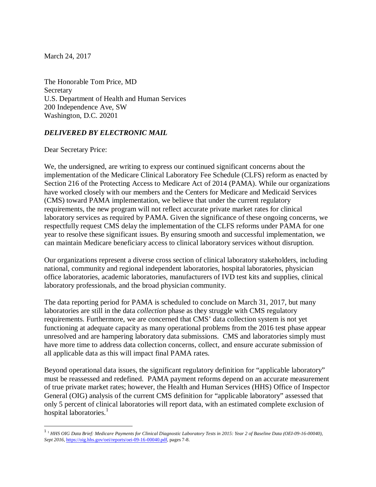March 24, 2017

The Honorable Tom Price, MD **Secretary** U.S. Department of Health and Human Services 200 Independence Ave, SW Washington, D.C. 20201

## *DELIVERED BY ELECTRONIC MAIL*

Dear Secretary Price:

l

We, the undersigned, are writing to express our continued significant concerns about the implementation of the Medicare Clinical Laboratory Fee Schedule (CLFS) reform as enacted by Section 216 of the Protecting Access to Medicare Act of 2014 (PAMA). While our organizations have worked closely with our members and the Centers for Medicare and Medicaid Services (CMS) toward PAMA implementation, we believe that under the current regulatory requirements, the new program will not reflect accurate private market rates for clinical laboratory services as required by PAMA. Given the significance of these ongoing concerns, we respectfully request CMS delay the implementation of the CLFS reforms under PAMA for one year to resolve these significant issues. By ensuring smooth and successful implementation, we can maintain Medicare beneficiary access to clinical laboratory services without disruption.

Our organizations represent a diverse cross section of clinical laboratory stakeholders, including national, community and regional independent laboratories, hospital laboratories, physician office laboratories, academic laboratories, manufacturers of IVD test kits and supplies, clinical laboratory professionals, and the broad physician community.

The data reporting period for PAMA is scheduled to conclude on March 31, 2017, but many laboratories are still in the data *collection* phase as they struggle with CMS regulatory requirements. Furthermore, we are concerned that CMS' data collection system is not yet functioning at adequate capacity as many operational problems from the 2016 test phase appear unresolved and are hampering laboratory data submissions. CMS and laboratories simply must have more time to address data collection concerns, collect, and ensure accurate submission of all applicable data as this will impact final PAMA rates.

Beyond operational data issues, the significant regulatory definition for "applicable laboratory" must be reassessed and redefined. PAMA payment reforms depend on an accurate measurement of true private market rates; however, the Health and Human Services (HHS) Office of Inspector General (OIG) analysis of the current CMS definition for "applicable laboratory" assessed that only 5 percent of clinical laboratories will report data, with an estimated complete exclusion of hospital laboratories.<sup>1</sup>

<sup>1</sup> <sup>1</sup> *HHS OIG Data Brief: Medicare Payments for Clinical Diagnostic Laboratory Tests in 2015: Year 2 of Baseline Data (OEI-09-16-00040), Sept 2016,* https://oig.hhs.gov/oei/reports/oei-09-16-00040.pdf, pages 7-8.